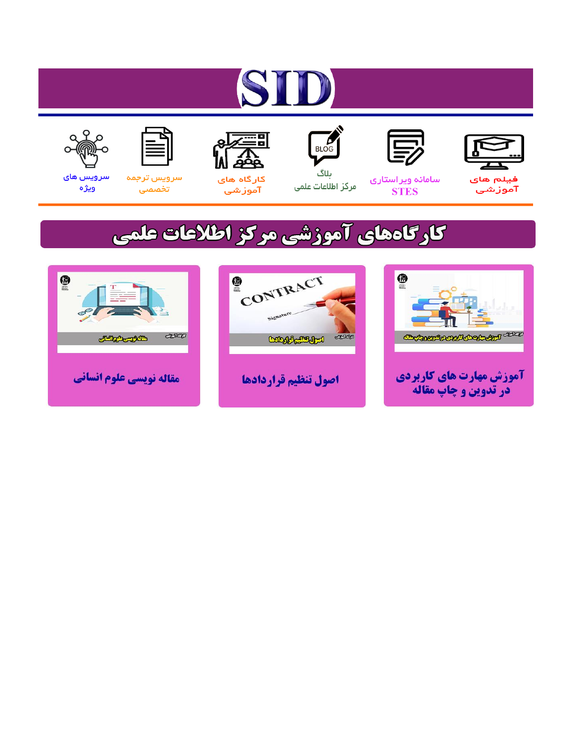# ST











ىلاگ



مرکز اطلاعات علمی

 $\frac{1}{\sqrt{\frac{1}{100}}}$ 

Cologie Legislation

کارگاه های آموزشي

空

ققق

 $\begin{matrix} \textcircled{\footnotesize{A}}\\ \textcircled{\footnotesize{B}} \end{matrix}$ 

سرويس ترجمه تخصصى



سرویس های ويژه

كارگاههای آموزشی مركز اطلاعات علمی

CONTRACT

اصول تنظيم قراردادها



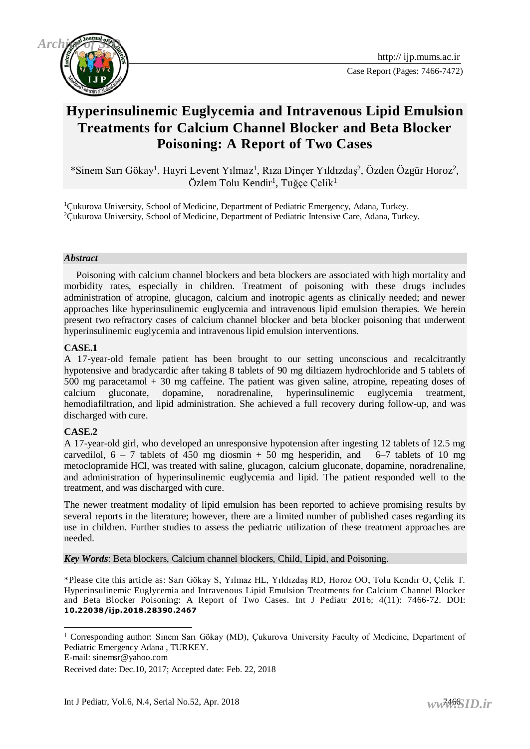

# **Hyperinsulinemic Euglycemia and Intravenous Lipid Emulsion Treatments for Calcium Channel Blocker and Beta Blocker Poisoning: A Report of Two Cases**

\*Sinem Sarı Gökay<sup>1</sup>, Hayri Levent Yılmaz<sup>1</sup>, Rıza Dinçer Yıldızdaş<sup>2</sup>, Özden Özgür Horoz<sup>2</sup>, Özlem Tolu Kendir<sup>1</sup>, Tuğçe Çelik<sup>1</sup>

<sup>1</sup>Çukurova University, School of Medicine, Department of Pediatric Emergency, Adana, Turkey. <sup>2</sup>Çukurova University, School of Medicine, Department of Pediatric Intensive Care, Adana, Turkey.

#### *Abstract*

 Poisoning with calcium channel blockers and beta blockers are associated with high mortality and morbidity rates, especially in children. Treatment of poisoning with these drugs includes administration of atropine, glucagon, calcium and inotropic agents as clinically needed; and newer approaches like hyperinsulinemic euglycemia and intravenous lipid emulsion therapies. We herein present two refractory cases of calcium channel blocker and beta blocker poisoning that underwent hyperinsulinemic euglycemia and intravenous lipid emulsion interventions.

#### **CASE.1**

A 17-year-old female patient has been brought to our setting unconscious and recalcitrantly hypotensive and bradycardic after taking 8 tablets of 90 mg diltiazem hydrochloride and 5 tablets of 500 mg paracetamol + 30 mg caffeine. The patient was given saline, atropine, repeating doses of calcium gluconate, dopamine, noradrenaline, hyperinsulinemic euglycemia treatment, hemodiafiltration, and lipid administration. She achieved a full recovery during follow-up, and was discharged with cure.

#### **CASE.2**

A 17-year-old girl, who developed an unresponsive hypotension after ingesting 12 tablets of 12.5 mg carvedilol,  $6 - 7$  tablets of 450 mg diosmin + 50 mg hesperidin, and  $6-7$  tablets of 10 mg metoclopramide HCl, was treated with saline, glucagon, calcium gluconate, dopamine, noradrenaline, and administration of hyperinsulinemic euglycemia and lipid. The patient responded well to the treatment, and was discharged with cure.

The newer treatment modality of lipid emulsion has been reported to achieve promising results by several reports in the literature; however, there are a limited number of published cases regarding its use in children. Further studies to assess the pediatric utilization of these treatment approaches are needed.

*Key Words*: Beta blockers, Calcium channel blockers, Child, Lipid, and Poisoning.

\*Please cite this article as: Sarı Gökay S, Yılmaz HL, Yıldızdaş RD, Horoz OO, Tolu Kendir O, Çelik T. Hyperinsulinemic Euglycemia and Intravenous Lipid Emulsion Treatments for Calcium Channel Blocker and Beta Blocker Poisoning: A Report of Two Cases. Int J Pediatr 2016; 4(11): 7466-72. DOI: **10.22038/ijp.2018.28390.2467**

<sup>1</sup> <sup>1</sup> Corresponding author: Sinem Sarı Gökay (MD), Çukurova University Faculty of Medicine, Department of Pediatric Emergency Adana , TURKEY.

E-mail: sinemsr@yahoo.com

Received date: Dec.10, 2017; Accepted date: Feb. 22, 2018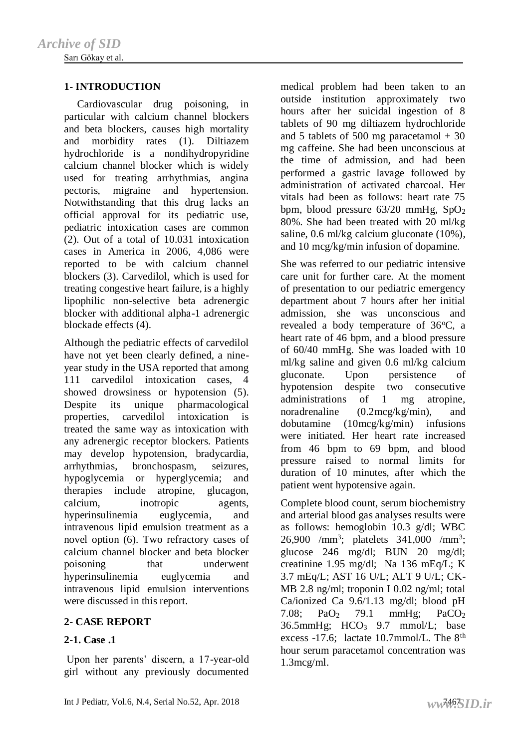### **1- INTRODUCTION**

 Cardiovascular drug poisoning, in particular with calcium channel blockers and beta blockers, causes high mortality and morbidity rates (1). Diltiazem hydrochloride is a nondihydropyridine calcium channel blocker which is widely used for treating arrhythmias, angina pectoris, migraine and hypertension. Notwithstanding that this drug lacks an official approval for its pediatric use, pediatric intoxication cases are common  $(2)$ . Out of a total of 10.031 intoxication cases in America in 2006, 4,086 were reported to be with calcium channel blockers (3). Carvedilol, which is used for treating congestive heart failure, is a highly lipophilic non-selective beta adrenergic blocker with additional alpha-1 adrenergic blockade effects (4).

Although the pediatric effects of carvedilol have not yet been clearly defined, a nineyear study in the USA reported that among 111 carvedilol intoxication cases, 4 showed drowsiness or hypotension (5). Despite its unique pharmacological properties, carvedilol intoxication is treated the same way as intoxication with any adrenergic receptor blockers. Patients may develop hypotension, bradycardia, arrhythmias, bronchospasm, seizures, hypoglycemia or hyperglycemia; and therapies include atropine, glucagon, calcium, inotropic agents, hyperinsulinemia euglycemia, and intravenous lipid emulsion treatment as a novel option (6). Two refractory cases of calcium channel blocker and beta blocker poisoning that underwent hyperinsulinemia euglycemia and intravenous lipid emulsion interventions were discussed in this report.

### **2- CASE REPORT**

### **2-1. Case .1**

Upon her parents' discern, a 17-year-old girl without any previously documented medical problem had been taken to an outside institution approximately two hours after her suicidal ingestion of 8 tablets of 90 mg diltiazem hydrochloride and 5 tablets of 500 mg paracetamol  $+30$ mg caffeine. She had been unconscious at the time of admission, and had been performed a gastric lavage followed by administration of activated charcoal. Her vitals had been as follows: heart rate 75 bpm, blood pressure  $63/20$  mmHg,  $SpO<sub>2</sub>$ 80%. She had been treated with 20 ml/kg saline, 0.6 ml/kg calcium gluconate (10%), and 10 mcg/kg/min infusion of dopamine.

She was referred to our pediatric intensive care unit for further care. At the moment of presentation to our pediatric emergency department about 7 hours after her initial admission, she was unconscious and revealed a body temperature of  $36^{\circ}$ C, a heart rate of 46 bpm, and a blood pressure of 60/40 mmHg. She was loaded with 10 ml/kg saline and given 0.6 ml/kg calcium gluconate. Upon persistence of hypotension despite two consecutive administrations of 1 mg atropine, noradrenaline (0.2mcg/kg/min), and dobutamine (10mcg/kg/min) infusions were initiated. Her heart rate increased from 46 bpm to 69 bpm, and blood pressure raised to normal limits for duration of 10 minutes, after which the patient went hypotensive again.

Complete blood count, serum biochemistry and arterial blood gas analyses results were as follows: hemoglobin 10.3 g/dl; WBC 26,900 /mm<sup>3</sup>; platelets 341,000 /mm<sup>3</sup>; glucose 246 mg/dl; BUN 20 mg/dl; creatinine 1.95 mg/dl; Na 136 mEq/L; K 3.7 mEq/L; AST 16 U/L; ALT 9 U/L; CK-MB 2.8 ng/ml; troponin I 0.02 ng/ml; total Ca/ionized Ca 9.6/1.13 mg/dl; blood pH 7.08; PaO<sup>2</sup> 79.1 mmHg; PaCO<sup>2</sup> 36.5mmHg;  $HCO<sub>3</sub>$  9.7 mmol/L; base excess -17.6; lactate 10.7mmol/L. The 8<sup>th</sup> hour serum paracetamol concentration was 1.3mcg/ml.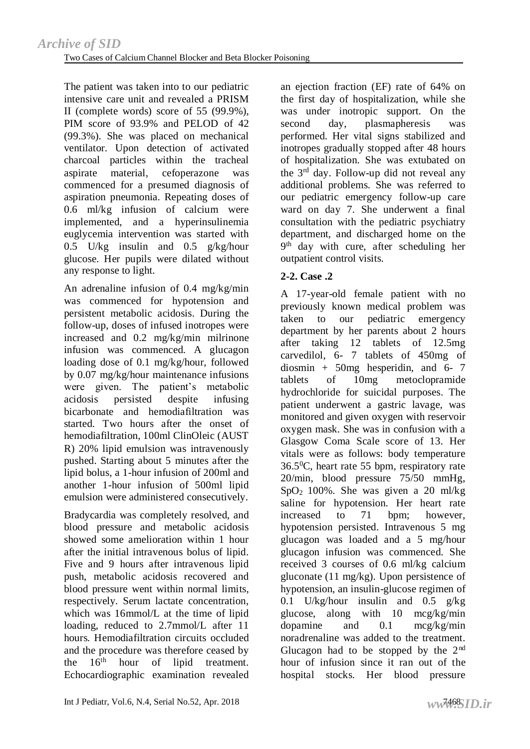The patient was taken into to our pediatric intensive care unit and revealed a PRISM II (complete words) score of 55 (99.9%), PIM score of 93.9% and PELOD of 42 (99.3%). She was placed on mechanical ventilator. Upon detection of activated charcoal particles within the tracheal aspirate material, cefoperazone was commenced for a presumed diagnosis of aspiration pneumonia. Repeating doses of 0.6 ml/kg infusion of calcium were implemented, and a hyperinsulinemia euglycemia intervention was started with 0.5 U/kg insulin and 0.5 g/kg/hour glucose. Her pupils were dilated without any response to light.

An adrenaline infusion of 0.4 mg/kg/min was commenced for hypotension and persistent metabolic acidosis. During the follow-up, doses of infused inotropes were increased and 0.2 mg/kg/min milrinone infusion was commenced. A glucagon loading dose of 0.1 mg/kg/hour, followed by 0.07 mg/kg/hour maintenance infusions were given. The patient's metabolic acidosis persisted despite infusing bicarbonate and hemodiafiltration was started. Two hours after the onset of hemodiafiltration, 100ml ClinOleic (AUST R) 20% lipid emulsion was intravenously pushed. Starting about 5 minutes after the lipid bolus, a 1-hour infusion of 200ml and another 1-hour infusion of 500ml lipid emulsion were administered consecutively.

Bradycardia was completely resolved, and blood pressure and metabolic acidosis showed some amelioration within 1 hour after the initial intravenous bolus of lipid. Five and 9 hours after intravenous lipid push, metabolic acidosis recovered and blood pressure went within normal limits, respectively. Serum lactate concentration, which was 16mmol/L at the time of lipid loading, reduced to 2.7mmol/L after 11 hours. Hemodiafiltration circuits occluded and the procedure was therefore ceased by the 16<sup>th</sup> hour of lipid treatment. Echocardiographic examination revealed

second day, plasmapheresis was performed. Her vital signs stabilized and inotropes gradually stopped after 48 hours of hospitalization. She was extubated on the  $3<sup>rd</sup>$  day. Follow-up did not reveal any additional problems. She was referred to our pediatric emergency follow-up care ward on day 7. She underwent a final consultation with the pediatric psychiatry department, and discharged home on the 9 th day with cure, after scheduling her outpatient control visits. **2-2. Case .2** A 17-year-old female patient with no previously known medical problem was

an ejection fraction (EF) rate of 64% on the first day of hospitalization, while she was under inotropic support. On the

taken to our pediatric emergency department by her parents about 2 hours after taking 12 tablets of 12.5mg carvedilol, 6- 7 tablets of 450mg of diosmin +  $50mg$  hesperidin, and 6- 7 tablets of 10mg metoclopramide hydrochloride for suicidal purposes. The patient underwent a gastric lavage, was monitored and given oxygen with reservoir oxygen mask. She was in confusion with a Glasgow Coma Scale score of 13. Her vitals were as follows: body temperature  $36.5$ <sup>o</sup>C, heart rate 55 bpm, respiratory rate 20/min, blood pressure 75/50 mmHg, SpO2 100%. She was given a 20 ml/kg saline for hypotension. Her heart rate increased to 71 bpm; however, hypotension persisted. Intravenous 5 mg glucagon was loaded and a 5 mg/hour glucagon infusion was commenced. She received 3 courses of 0.6 ml/kg calcium gluconate (11 mg/kg). Upon persistence of hypotension, an insulin-glucose regimen of 0.1 U/kg/hour insulin and  $0.5$  g/kg glucose, along with 10 mcg/kg/min dopamine and 0.1 mcg/kg/min noradrenaline was added to the treatment. Glucagon had to be stopped by the  $2<sup>nd</sup>$ hour of infusion since it ran out of the hospital stocks. Her blood pressure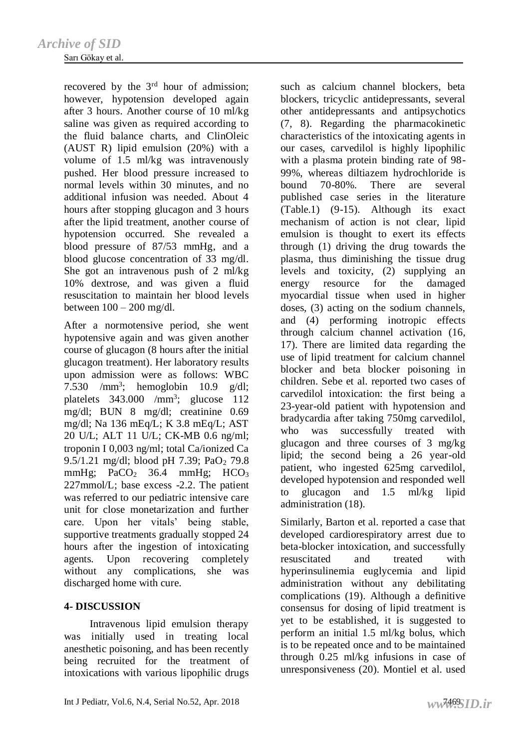#### Sarı Gökay et al.

recovered by the 3<sup>rd</sup> hour of admission; however, hypotension developed again after 3 hours. Another course of 10 ml/kg saline was given as required according to the fluid balance charts, and ClinOleic (AUST R) lipid emulsion (20%) with a volume of 1.5 ml/kg was intravenously pushed. Her blood pressure increased to normal levels within 30 minutes, and no additional infusion was needed. About 4 hours after stopping glucagon and 3 hours after the lipid treatment, another course of hypotension occurred. She revealed a blood pressure of 87/53 mmHg, and a blood glucose concentration of 33 mg/dl. She got an intravenous push of 2 ml/kg 10% dextrose, and was given a fluid resuscitation to maintain her blood levels between  $100 - 200$  mg/dl.

After a normotensive period, she went hypotensive again and was given another course of glucagon (8 hours after the initial glucagon treatment). Her laboratory results upon admission were as follows: WBC 7.530 /mm<sup>3</sup>; hemoglobin  $10.9$  g/dl; platelets 343.000 /mm<sup>3</sup>; glucose 112 mg/dl; BUN 8 mg/dl; creatinine 0.69 mg/dl; Na 136 mEq/L; K 3.8 mEq/L; AST 20 U/L; ALT 11 U/L; CK-MB 0.6 ng/ml; troponin I 0,003 ng/ml; total Ca/ionized Ca 9.5/1.21 mg/dl; blood pH 7.39; PaO<sub>2</sub> 79.8 mmHg;  $PaCO<sub>2</sub>$  36.4 mmHg;  $HCO<sub>3</sub>$ 227mmol/L; base excess -2.2. The patient was referred to our pediatric intensive care unit for close monetarization and further care. Upon her vitals' being stable, supportive treatments gradually stopped 24 hours after the ingestion of intoxicating agents. Upon recovering completely without any complications, she was discharged home with cure.

### **4- DISCUSSION**

 Intravenous lipid emulsion therapy was initially used in treating local anesthetic poisoning, and has been recently being recruited for the treatment of intoxications with various lipophilic drugs

such as calcium channel blockers, beta blockers, tricyclic antidepressants, several other antidepressants and antipsychotics (7, 8). Regarding the pharmacokinetic characteristics of the intoxicating agents in our cases, carvedilol is highly lipophilic with a plasma protein binding rate of 98- 99%, whereas diltiazem hydrochloride is bound 70-80%. There are several published case series in the literature (Table.1) (9-15). Although its exact mechanism of action is not clear, lipid emulsion is thought to exert its effects through (1) driving the drug towards the plasma, thus diminishing the tissue drug levels and toxicity, (2) supplying an energy resource for the damaged myocardial tissue when used in higher doses, (3) acting on the sodium channels, and (4) performing inotropic effects through calcium channel activation (16, 17). There are limited data regarding the use of lipid treatment for calcium channel blocker and beta blocker poisoning in children. Sebe et al. reported two cases of carvedilol intoxication: the first being a 23-year-old patient with hypotension and bradycardia after taking 750mg carvedilol, who was successfully treated with glucagon and three courses of 3 mg/kg lipid; the second being a 26 year-old patient, who ingested 625mg carvedilol, developed hypotension and responded well to glucagon and 1.5 ml/kg lipid administration (18).

Similarly, Barton et al. reported a case that developed cardiorespiratory arrest due to beta-blocker intoxication, and successfully resuscitated and treated with hyperinsulinemia euglycemia and lipid administration without any debilitating complications (19). Although a definitive consensus for dosing of lipid treatment is yet to be established, it is suggested to perform an initial 1.5 ml/kg bolus, which is to be repeated once and to be maintained through 0.25 ml/kg infusions in case of unresponsiveness (20). Montiel et al. used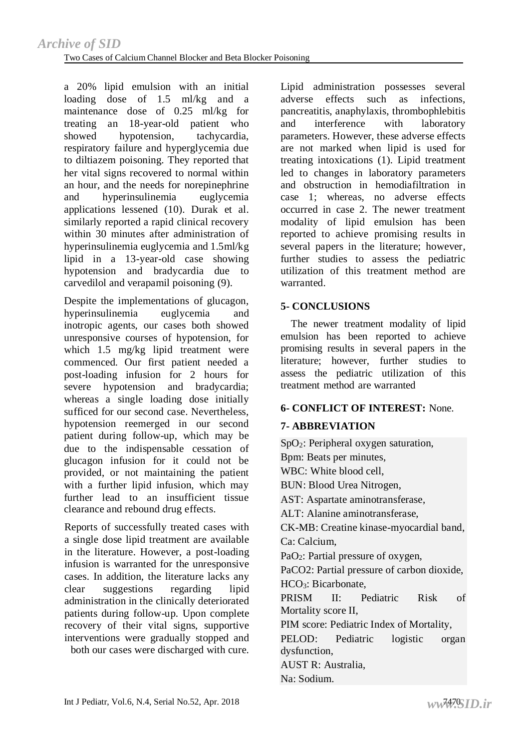a 20% lipid emulsion with an initial loading dose of 1.5 ml/kg and a maintenance dose of 0.25 ml/kg for treating an 18-year-old patient who showed hypotension, tachycardia, respiratory failure and hyperglycemia due to diltiazem poisoning. They reported that her vital signs recovered to normal within an hour, and the needs for norepinephrine and hyperinsulinemia euglycemia applications lessened (10). Durak et al. similarly reported a rapid clinical recovery within 30 minutes after administration of hyperinsulinemia euglycemia and 1.5ml/kg lipid in a 13-year-old case showing hypotension and bradycardia due to carvedilol and verapamil poisoning (9).

Despite the implementations of glucagon, hyperinsulinemia euglycemia and inotropic agents, our cases both showed unresponsive courses of hypotension, for which 1.5 mg/kg lipid treatment were commenced. Our first patient needed a post-loading infusion for 2 hours for severe hypotension and bradycardia; whereas a single loading dose initially sufficed for our second case. Nevertheless, hypotension reemerged in our second patient during follow-up, which may be due to the indispensable cessation of glucagon infusion for it could not be provided, or not maintaining the patient with a further lipid infusion, which may further lead to an insufficient tissue clearance and rebound drug effects.

Reports of successfully treated cases with a single dose lipid treatment are available in the literature. However, a post-loading infusion is warranted for the unresponsive cases. In addition, the literature lacks any clear suggestions regarding lipid administration in the clinically deteriorated patients during follow-up. Upon complete recovery of their vital signs, supportive interventions were gradually stopped and

both our cases were discharged with cure.

Lipid administration possesses several adverse effects such as infections, pancreatitis, anaphylaxis, thrombophlebitis and interference with laboratory parameters. However, these adverse effects are not marked when lipid is used for treating intoxications (1). Lipid treatment led to changes in laboratory parameters and obstruction in hemodiafiltration in case 1; whereas, no adverse effects occurred in case 2. The newer treatment modality of lipid emulsion has been reported to achieve promising results in several papers in the literature; however, further studies to assess the pediatric utilization of this treatment method are warranted.

## **5- CONCLUSIONS**

 The newer treatment modality of lipid emulsion has been reported to achieve promising results in several papers in the literature; however, further studies to assess the pediatric utilization of this treatment method are warranted

# **6- CONFLICT OF INTEREST:** None.

# **7- ABBREVIATION**

SpO<sub>2</sub>: Peripheral oxygen saturation, Bpm: Beats per minutes, WBC: White blood cell, BUN: Blood Urea Nitrogen, AST: Aspartate aminotransferase, ALT: Alanine aminotransferase, CK-MB: Creatine kinase-myocardial band, Ca: Calcium, PaO<sub>2</sub>: Partial pressure of oxygen, PaCO2: Partial pressure of carbon dioxide, HCO3: Bicarbonate, PRISM II: Pediatric Risk of Mortality score II, PIM score: Pediatric Index of Mortality, PELOD: Pediatric logistic organ dysfunction,

AUST R: Australia,

Na: Sodium.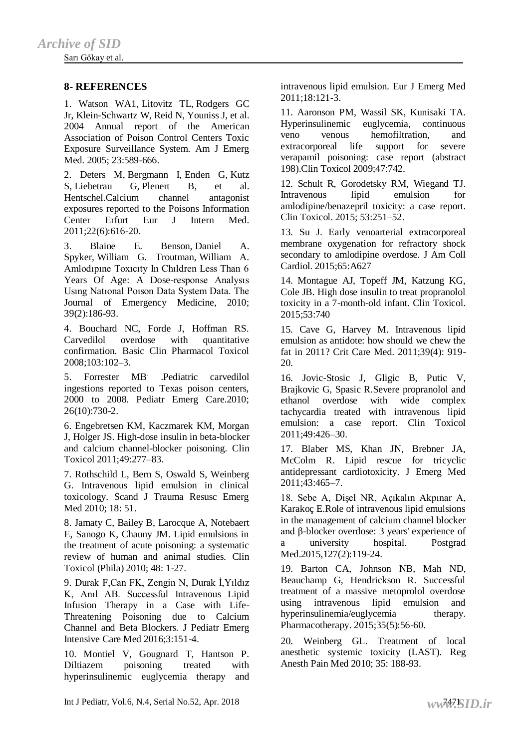Sarı Gökay et al.

#### **8- REFERENCES**

1. [Watson WA1](https://www.ncbi.nlm.nih.gov/pubmed/?term=Watson%20WA%5BAuthor%5D&cauthor=true&cauthor_uid=16140178), [Litovitz TL,](https://www.ncbi.nlm.nih.gov/pubmed/?term=Litovitz%20TL%5BAuthor%5D&cauthor=true&cauthor_uid=16140178) [Rodgers GC](https://www.ncbi.nlm.nih.gov/pubmed/?term=Rodgers%20GC%20Jr%5BAuthor%5D&cauthor=true&cauthor_uid=16140178)  [Jr,](https://www.ncbi.nlm.nih.gov/pubmed/?term=Rodgers%20GC%20Jr%5BAuthor%5D&cauthor=true&cauthor_uid=16140178) [Klein-Schwartz W,](https://www.ncbi.nlm.nih.gov/pubmed/?term=Klein-Schwartz%20W%5BAuthor%5D&cauthor=true&cauthor_uid=16140178) [Reid N,](https://www.ncbi.nlm.nih.gov/pubmed/?term=Reid%20N%5BAuthor%5D&cauthor=true&cauthor_uid=16140178) [Youniss J,](https://www.ncbi.nlm.nih.gov/pubmed/?term=Youniss%20J%5BAuthor%5D&cauthor=true&cauthor_uid=16140178) et al. 2004 Annual report of the American Association of Poison Control Centers Toxic Exposure Surveillance System. Am J Emerg Med*.* 2005; 23:589-666.

2. [Deters M,](https://www.ncbi.nlm.nih.gov/pubmed/?term=Deters%20M%5BAuthor%5D&cauthor=true&cauthor_uid=22075291) [Bergmann I,](https://www.ncbi.nlm.nih.gov/pubmed/?term=Bergmann%20I%5BAuthor%5D&cauthor=true&cauthor_uid=22075291) [Enden G,](https://www.ncbi.nlm.nih.gov/pubmed/?term=Enden%20G%5BAuthor%5D&cauthor=true&cauthor_uid=22075291) [Kutz](https://www.ncbi.nlm.nih.gov/pubmed/?term=Kutz%20S%5BAuthor%5D&cauthor=true&cauthor_uid=22075291)  [S,](https://www.ncbi.nlm.nih.gov/pubmed/?term=Kutz%20S%5BAuthor%5D&cauthor=true&cauthor_uid=22075291) [Liebetrau G,](https://www.ncbi.nlm.nih.gov/pubmed/?term=Liebetrau%20G%5BAuthor%5D&cauthor=true&cauthor_uid=22075291) [Plenert B,](https://www.ncbi.nlm.nih.gov/pubmed/?term=Plenert%20B%5BAuthor%5D&cauthor=true&cauthor_uid=22075291) et al. Hentschel.Calcium channel antagonist exposures reported to the Poisons Information Center Erfurt [Eur J Intern Med.](https://www.ncbi.nlm.nih.gov/pubmed/?term=Calcium+channel+antagonist+exposures+reported+to+the+Poisons+Information) 2011;22(6):616-20.

3. Blaine E. Benson, Daniel A. Spyker, William G. Troutman, William A. Amlodıpıne Toxıcıty In Chıldren Less Than 6 Years Of Age: A Dose-response Analysıs Usıng Natıonal Poıson Data System Data. The Journal of Emergency Medicine, 2010; 39(2):186-93.

4. Bouchard NC, Forde J, Hoffman RS. Carvedilol overdose with quantitative confirmation. Basic Clin Pharmacol Toxicol 2008;103:102–3.

5. Forrester MB. .Pediatric carvedilol ingestions reported to Texas poison centers, 2000 to 2008. Pediatr Emerg Care.2010; 26(10):730-2.

6. Engebretsen KM, Kaczmarek KM, Morgan J, Holger JS. High-dose insulin in beta-blocker and calcium channel-blocker poisoning. Clin Toxicol 2011;49:277–83.

7. Rothschild L, Bern S, Oswald S, Weinberg G. Intravenous lipid emulsion in clinical toxicology. Scand J Trauma Resusc Emerg Med 2010; 18: 51.

8. Jamaty C, Bailey B, Larocque A, Notebaert E, Sanogo K, Chauny JM. Lipid emulsions in the treatment of acute poisoning: a systematic review of human and animal studies. Clin Toxicol (Phila) 2010; 48: 1-27.

9. Durak F,Can FK, Zengin N, Durak İ,Yıldız K, Anıl AB. Successful Intravenous Lipid Infusion Therapy in a Case with Life-Threatening Poisoning due to Calcium Channel and Beta Blockers. J Pediatr Emerg Intensive Care Med 2016;3:151-4.

10. Montiel V, Gougnard T, Hantson P. Diltiazem poisoning treated with hyperinsulinemic euglycemia therapy and intravenous lipid emulsion. Eur J Emerg Med 2011;18:121-3.

11. Aaronson PM, Wassil SK, Kunisaki TA. Hyperinsulinemic euglycemia, continuous veno venous hemofiltration, and extracorporeal life support for severe verapamil poisoning: case report (abstract 198).Clin Toxicol 2009;47:742.

12. Schult R, Gorodetsky RM, Wiegand TJ. Intravenous lipid emulsion for amlodipine/benazepril toxicity: a case report. Clin Toxicol. 2015; 53:251–52.

13. Su J. Early venoarterial extracorporeal membrane oxygenation for refractory shock secondary to amlodipine overdose. J Am Coll Cardiol. 2015;65:A627

14. Montague AJ, Topeff JM, Katzung KG, Cole JB. High dose insulin to treat propranolol toxicity in a 7-month-old infant. Clin Toxicol. 2015;53:740

15. Cave G, Harvey M. Intravenous lipid emulsion as antidote: how should we chew the fat in 2011? Crit Care Med. 2011;39(4): 919- 20.

16. Jovic-Stosic J, Gligic B, Putic V, Brajkovic G, Spasic R.Severe propranolol and ethanol overdose with wide complex tachycardia treated with intravenous lipid emulsion: a case report. Clin Toxicol 2011;49:426–30.

17. Blaber MS, Khan JN, Brebner JA, McColm R. Lipid rescue for tricyclic antidepressant cardiotoxicity. J Emerg Med 2011;43:465–7.

18. Sebe A, Dişel NR, Açıkalın Akpınar A, Karakoç E.Role of intravenous lipid emulsions in the management of calcium channel blocker and β-blocker overdose: 3 years' experience of a university hospital. Postgrad Med.2015,127(2):119-24.

19. Barton CA, Johnson NB, Mah ND, Beauchamp G, Hendrickson R. Successful treatment of a massive metoprolol overdose using intravenous lipid emulsion and hyperinsulinemia/euglycemia therapy. Pharmacotherapy. 2015;35(5):56-60.

20. Weinberg GL. Treatment of local anesthetic systemic toxicity (LAST). Reg Anesth Pain Med 2010; 35: 188-93.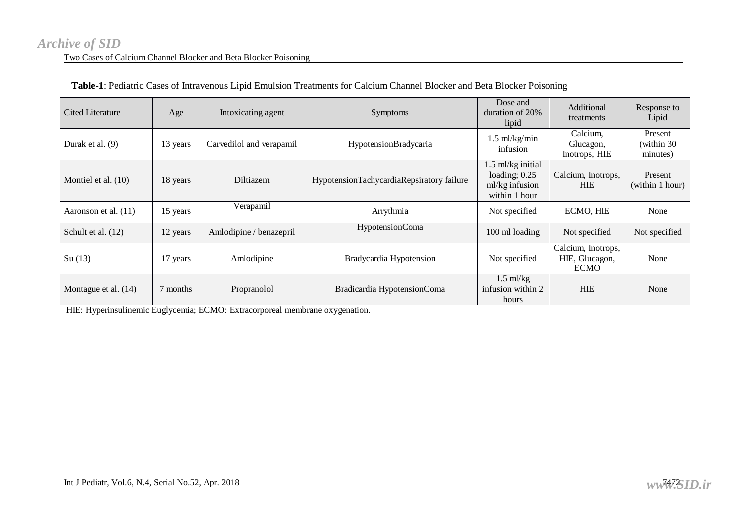# Two Cases of Calcium Channel Blocker and Beta Blocker Poisoning *[Archive of SID](www.sid.ir)*

| <b>Cited Literature</b> | Age      | Intoxicating agent       | Symptoms                                  | Dose and<br>duration of 20%<br>lipid                                      | Additional<br>treatments                            | Response to<br>Lipid              |
|-------------------------|----------|--------------------------|-------------------------------------------|---------------------------------------------------------------------------|-----------------------------------------------------|-----------------------------------|
| Durak et al. $(9)$      | 13 years | Carvedilol and verapamil | HypotensionBradycaria                     | $1.5$ ml/kg/min<br>infusion                                               | Calcium,<br>Glucagon,<br>Inotrops, HIE              | Present<br>(within 30<br>minutes) |
| Montiel et al. $(10)$   | 18 years | <b>Diltiazem</b>         | HypotensionTachycardiaRepsiratory failure | 1.5 ml/kg initial<br>loading; $0.25$<br>$ml/kg$ infusion<br>within 1 hour | Calcium, Inotrops,<br><b>HIE</b>                    | Present<br>(within 1 hour)        |
| Aaronson et al. (11)    | 15 years | Verapamil                | Arrythmia                                 | Not specified                                                             | ECMO, HIE                                           | None                              |
| Schult et al. (12)      | 12 years | Amlodipine / benazepril  | HypotensionComa                           | 100 ml loading                                                            | Not specified                                       | Not specified                     |
| Su(13)                  | 17 years | Amlodipine               | Bradycardia Hypotension                   | Not specified                                                             | Calcium, Inotrops,<br>HIE, Glucagon,<br><b>ECMO</b> | None                              |
| Montague et al. (14)    | 7 months | Propranolol              | Bradicardia HypotensionComa               | $1.5 \text{ ml/kg}$<br>infusion within 2<br>hours                         | <b>HIE</b>                                          | None                              |

#### **Table-1**: Pediatric Cases of Intravenous Lipid Emulsion Treatments for Calcium Channel Blocker and Beta Blocker Poisoning

HIE: Hyperinsulinemic Euglycemia; ECMO: Extracorporeal membrane oxygenation.